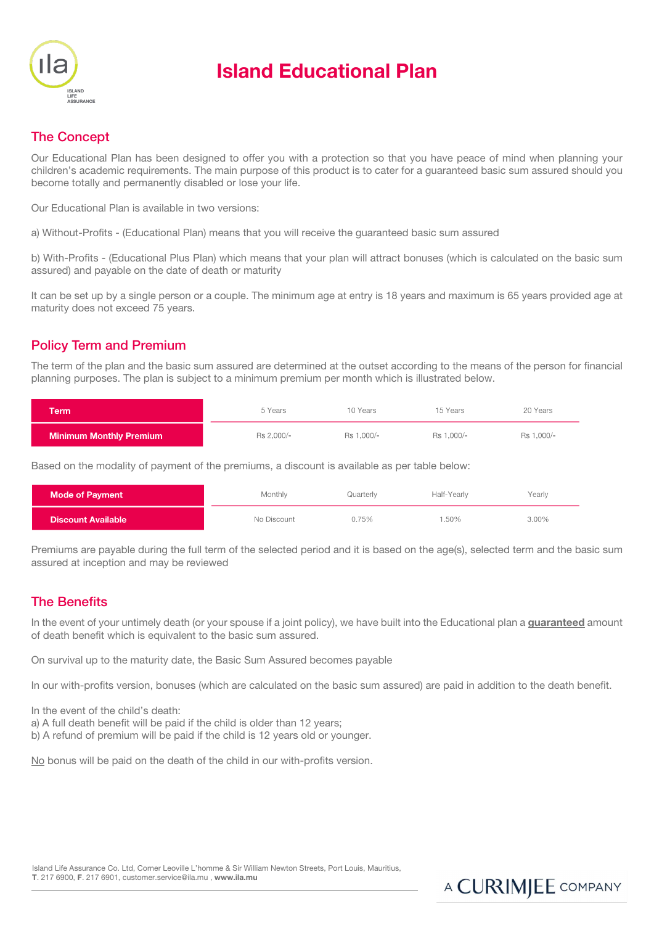

# Island Educational Plan

## The Concept

Our Educational Plan has been designed to offer you with a protection so that you have peace of mind when planning your children's academic requirements. The main purpose of this product is to cater for a guaranteed basic sum assured should you become totally and permanently disabled or lose your life.

Our Educational Plan is available in two versions:

a) Without-Profits - (Educational Plan) means that you will receive the guaranteed basic sum assured

b) With-Profits - (Educational Plus Plan) which means that your plan will attract bonuses (which is calculated on the basic sum assured) and payable on the date of death or maturity

It can be set up by a single person or a couple. The minimum age at entry is 18 years and maximum is 65 years provided age at maturity does not exceed 75 years.

## Policy Term and Premium

The term of the plan and the basic sum assured are determined at the outset according to the means of the person for financial planning purposes. The plan is subject to a minimum premium per month which is illustrated below.

| Term                           | 5 Years    | 10 Years   | 15 Years   | 20 Years   |
|--------------------------------|------------|------------|------------|------------|
| <b>Minimum Monthly Premium</b> | Rs 2.000/- | Rs 1.000/- | Rs 1.000/- | Rs 1.000/- |

Based on the modality of payment of the premiums, a discount is available as per table below:

| <b>Mode of Payment</b>    | Monthly     | Quarterly | Half-Yearly | Yearly |
|---------------------------|-------------|-----------|-------------|--------|
| <b>Discount Available</b> | No Discount | 0.75%     | 1.50%       | 3.00%  |

Premiums are payable during the full term of the selected period and it is based on the age(s), selected term and the basic sum assured at inception and may be reviewed

### The Benefits

In the event of your untimely death (or your spouse if a joint policy), we have built into the Educational plan a guaranteed amount of death benefit which is equivalent to the basic sum assured.

On survival up to the maturity date, the Basic Sum Assured becomes payable

In our with-profits version, bonuses (which are calculated on the basic sum assured) are paid in addition to the death benefit.

In the event of the child's death:

a) A full death benefit will be paid if the child is older than 12 years;

b) A refund of premium will be paid if the child is 12 years old or younger.

No bonus will be paid on the death of the child in our with-profits version.

Island Life Assurance Co. Ltd, Corner Leoville L'homme & Sir William Newton Streets, Port Louis, Mauritius, T. 217 6900, F. 217 6901, customer.service@ila.mu , www.ila.mu

## A CURIMJEE COMPANY